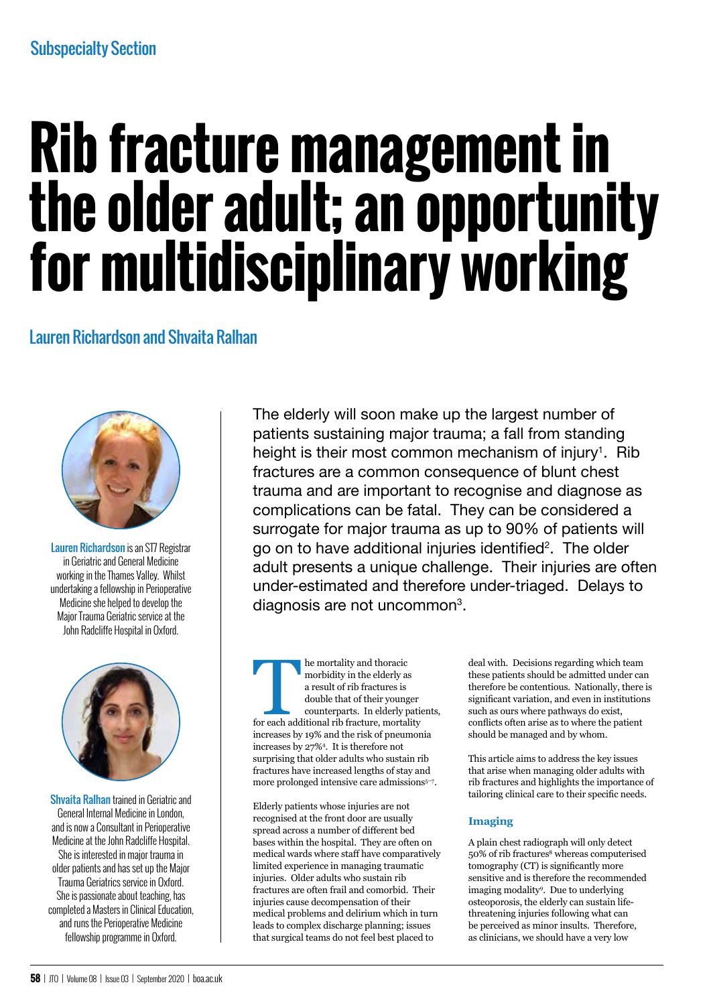# **Rib fracture management in the older adult; an opportunity for multidisciplinary working**

## Lauren Richardson and Shvaita Ralhan



Lauren Richardson is an ST7 Registrar in Geriatric and General Medicine working in the Thames Valley. Whilst undertaking a fellowship in Perioperative Medicine she helped to develop the Major Trauma Geriatric service at the John Radcliffe Hospital in Oxford.



Shvaita Ralhan trained in Geriatric and General Internal Medicine in London, and is now a Consultant in Perioperative Medicine at the John Radcliffe Hospital. She is interested in major trauma in older patients and has set up the Major Trauma Geriatrics service in Oxford. She is passionate about teaching, has completed a Masters in Clinical Education, and runs the Perioperative Medicine fellowship programme in Oxford.

The elderly will soon make up the largest number of patients sustaining major trauma; a fall from standing height is their most common mechanism of injury<sup>1</sup>. Rib fractures are a common consequence of blunt chest trauma and are important to recognise and diagnose as complications can be fatal. They can be considered a surrogate for major trauma as up to 90% of patients will go on to have additional injuries identified<sup>2</sup>. The older adult presents a unique challenge. Their injuries are often under-estimated and therefore under-triaged. Delays to diagnosis are not uncommon $^3$ .

**EXERCT** is mortality and thoracic morbidity in the elderly as a result of rib fractures is double that of their younger counterparts. In elderly pation and additional rib fracture, mortality morbidity in the elderly as a result of rib fractures is double that of their younger counterparts. In elderly patients, increases by 19% and the risk of pneumonia increases by 27%4 . It is therefore not surprising that older adults who sustain rib fractures have increased lengths of stay and more prolonged intensive care admissions<sup>5-7</sup>.

Elderly patients whose injuries are not recognised at the front door are usually spread across a number of different bed bases within the hospital. They are often on medical wards where staff have comparatively limited experience in managing traumatic injuries. Older adults who sustain rib fractures are often frail and comorbid. Their injuries cause decompensation of their medical problems and delirium which in turn leads to complex discharge planning; issues that surgical teams do not feel best placed to

deal with. Decisions regarding which team these patients should be admitted under can therefore be contentious. Nationally, there is significant variation, and even in institutions such as ours where pathways do exist, conflicts often arise as to where the patient should be managed and by whom.

This article aims to address the key issues that arise when managing older adults with rib fractures and highlights the importance of tailoring clinical care to their specific needs.

## **Imaging**

A plain chest radiograph will only detect 50% of rib fractures<sup>8</sup> whereas computerised tomography (CT) is significantly more sensitive and is therefore the recommended imaging modality<sup>9</sup>. Due to underlying osteoporosis, the elderly can sustain lifethreatening injuries following what can be perceived as minor insults. Therefore, as clinicians, we should have a very low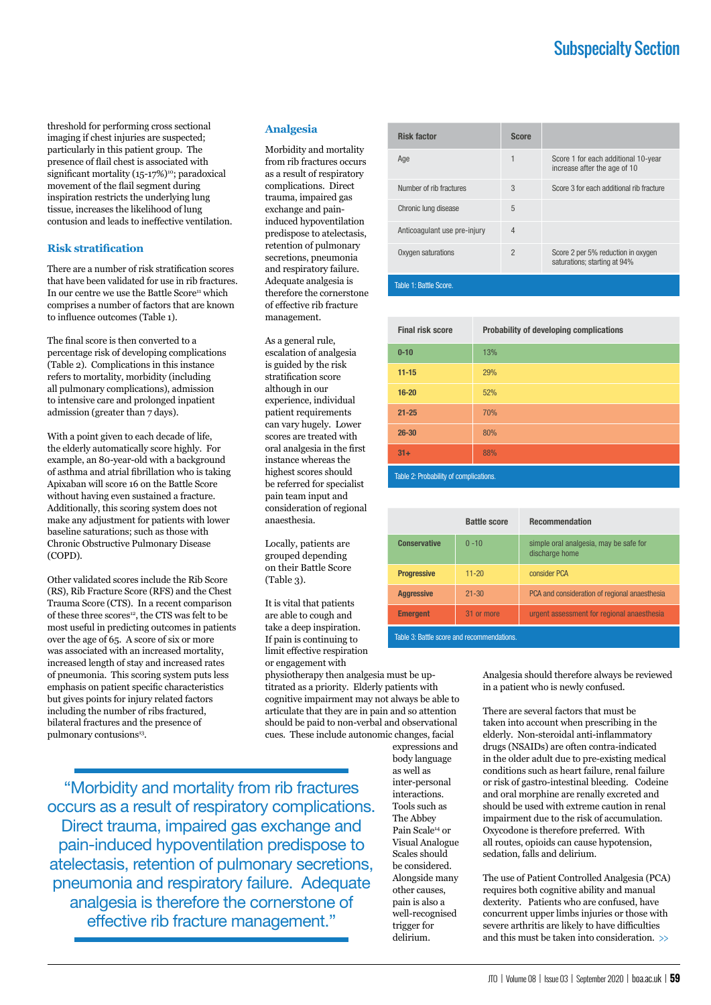# Subspecialty Section

threshold for performing cross sectional imaging if chest injuries are suspected; particularly in this patient group. The presence of flail chest is associated with significant mortality (15-17%)<sup>10</sup>; paradoxical movement of the flail segment during inspiration restricts the underlying lung tissue, increases the likelihood of lung contusion and leads to ineffective ventilation.

### **Risk stratification**

There are a number of risk stratification scores that have been validated for use in rib fractures. In our centre we use the Battle Score<sup>11</sup> which comprises a number of factors that are known to influence outcomes (Table 1).

The final score is then converted to a percentage risk of developing complications (Table 2). Complications in this instance refers to mortality, morbidity (including all pulmonary complications), admission to intensive care and prolonged inpatient admission (greater than 7 days).

With a point given to each decade of life, the elderly automatically score highly. For example, an 80-year-old with a background of asthma and atrial fibrillation who is taking Apixaban will score 16 on the Battle Score without having even sustained a fracture. Additionally, this scoring system does not make any adjustment for patients with lower baseline saturations; such as those with Chronic Obstructive Pulmonary Disease (COPD).

Other validated scores include the Rib Score (RS), Rib Fracture Score (RFS) and the Chest Trauma Score (CTS). In a recent comparison of these three scores<sup>12</sup>, the CTS was felt to be most useful in predicting outcomes in patients over the age of 65. A score of six or more was associated with an increased mortality, increased length of stay and increased rates of pneumonia. This scoring system puts less emphasis on patient specific characteristics but gives points for injury related factors including the number of ribs fractured, bilateral fractures and the presence of pulmonary contusions<sup>13</sup>.

### **Analgesia**

Morbidity and mortality from rib fractures occurs as a result of respiratory complications. Direct trauma, impaired gas exchange and paininduced hypoventilation predispose to atelectasis, retention of pulmonary secretions, pneumonia and respiratory failure. Adequate analgesia is therefore the cornerstone of effective rib fracture management.

As a general rule, escalation of analgesia is guided by the risk stratification score although in our experience, individual patient requirements can vary hugely. Lower scores are treated with oral analgesia in the first instance whereas the highest scores should be referred for specialist pain team input and consideration of regional anaesthesia.

Locally, patients are grouped depending on their Battle Score (Table 3).

It is vital that patients are able to cough and take a deep inspiration. If pain is continuing to limit effective respiration or engagement with

physiotherapy then analgesia must be uptitrated as a priority. Elderly patients with cognitive impairment may not always be able to articulate that they are in pain and so attention should be paid to non-verbal and observational cues. These include autonomic changes, facial

"Morbidity and mortality from rib fractures occurs as a result of respiratory complications. Direct trauma, impaired gas exchange and pain-induced hypoventilation predispose to atelectasis, retention of pulmonary secretions, pneumonia and respiratory failure. Adequate analgesia is therefore the cornerstone of effective rib fracture management."

| <b>Risk factor</b>           | <b>Score</b>   |                                                                     |
|------------------------------|----------------|---------------------------------------------------------------------|
| Age                          | 1              | Score 1 for each additional 10-year<br>increase after the age of 10 |
| Number of rib fractures      | 3              | Score 3 for each additional rib fracture                            |
| Chronic lung disease         | 5              |                                                                     |
| Anticoaqulant use pre-injury | $\overline{4}$ |                                                                     |
| Oxygen saturations           | $\mathfrak{p}$ | Score 2 per 5% reduction in oxygen<br>saturations; starting at 94%  |
| Table 1: Battle Score.       |                |                                                                     |

| <b>Final risk score</b> | Probability of developing complications |  |  |
|-------------------------|-----------------------------------------|--|--|
| $0 - 10$                | 13%                                     |  |  |
| $11 - 15$               | 29%                                     |  |  |
| $16 - 20$               | 52%                                     |  |  |
| $21 - 25$               | <b>70%</b>                              |  |  |
| $26 - 30$               | 80%                                     |  |  |
| $31+$                   | 88%                                     |  |  |

Table 2: Probability of complications.

|                     | <b>Battle score</b> | <b>Recommendation</b>                                    |
|---------------------|---------------------|----------------------------------------------------------|
| <b>Conservative</b> | $0 - 10$            | simple oral analgesia, may be safe for<br>discharge home |
| <b>Progressive</b>  | $11 - 20$           | consider PCA                                             |
| <b>Aggressive</b>   | $21 - 30$           | PCA and consideration of regional anaesthesia            |
| <b>Emergent</b>     | 31 or more          | urgent assessment for regional anaesthesia               |

Table 3: Battle score and recommendations.

Analgesia should therefore always be reviewed in a patient who is newly confused.

There are several factors that must be taken into account when prescribing in the elderly. Non-steroidal anti-inflammatory drugs (NSAIDs) are often contra-indicated in the older adult due to pre-existing medical conditions such as heart failure, renal failure or risk of gastro-intestinal bleeding. Codeine and oral morphine are renally excreted and should be used with extreme caution in renal impairment due to the risk of accumulation. Oxycodone is therefore preferred. With all routes, opioids can cause hypotension, sedation, falls and delirium.

The use of Patient Controlled Analgesia (PCA) requires both cognitive ability and manual dexterity. Patients who are confused, have concurrent upper limbs injuries or those with severe arthritis are likely to have difficulties and this must be taken into consideration. >>

expressions and body language as well as inter-personal interactions. Tools such as The Abbey Pain Scale<sup>14</sup> or Visual Analogue Scales should be considered. Alongside many other causes, pain is also a well-recognised trigger for delirium.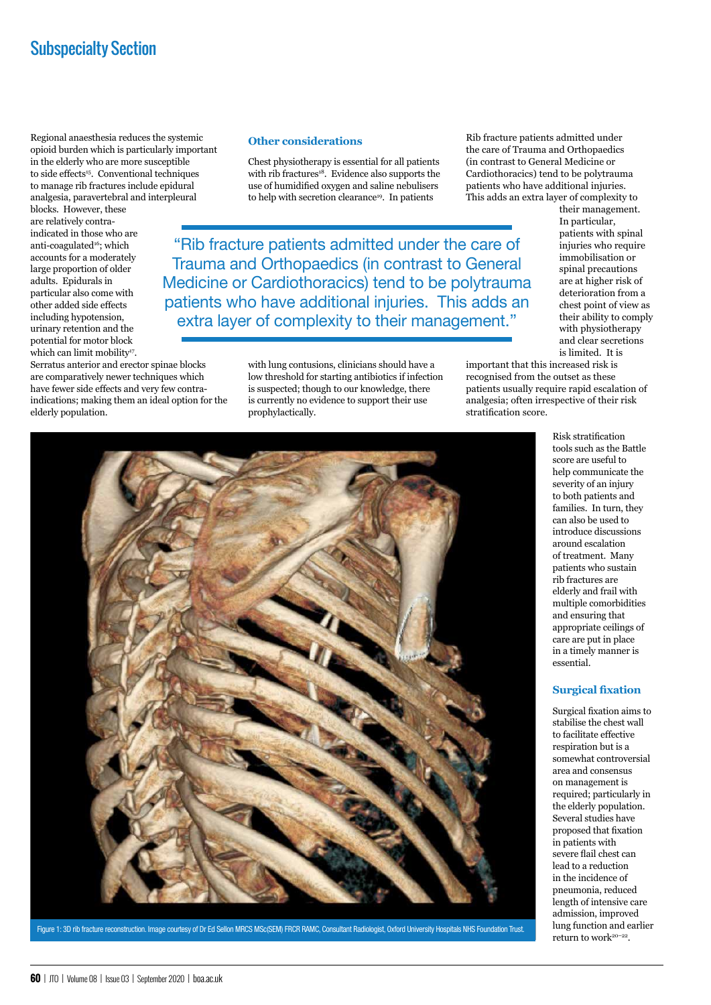## Subspecialty Section

Regional anaesthesia reduces the systemic opioid burden which is particularly important in the elderly who are more susceptible to side effects<sup>15</sup>. Conventional techniques to manage rib fractures include epidural analgesia, paravertebral and interpleural

blocks. However, these are relatively contraindicated in those who are anti-coagulated<sup>16</sup>; which accounts for a moderately large proportion of older adults. Epidurals in particular also come with other added side effects including hypotension, urinary retention and the potential for motor block which can limit mobility<sup>17</sup>.

Serratus anterior and erector spinae blocks are comparatively newer techniques which have fewer side effects and very few contraindications; making them an ideal option for the elderly population.

## **Other considerations**

Chest physiotherapy is essential for all patients with rib fractures<sup>18</sup>. Evidence also supports the use of humidified oxygen and saline nebulisers to help with secretion clearance<sup>19</sup>. In patients

"Rib fracture patients admitted under the care of Trauma and Orthopaedics (in contrast to General Medicine or Cardiothoracics) tend to be polytrauma patients who have additional injuries. This adds an extra layer of complexity to their management."

> with lung contusions, clinicians should have a low threshold for starting antibiotics if infection is suspected; though to our knowledge, there is currently no evidence to support their use prophylactically.

Rib fracture patients admitted under the care of Trauma and Orthopaedics (in contrast to General Medicine or Cardiothoracics) tend to be polytrauma patients who have additional injuries. This adds an extra layer of complexity to

their management. In particular, patients with spinal injuries who require immobilisation or spinal precautions are at higher risk of deterioration from a chest point of view as their ability to comply with physiotherapy and clear secretions is limited. It is

important that this increased risk is recognised from the outset as these patients usually require rapid escalation of analgesia; often irrespective of their risk stratification score.

> tools such as the Battle score are useful to help communicate the severity of an injury to both patients and families. In turn, they can also be used to introduce discussions around escalation of treatment. Many patients who sustain rib fractures are elderly and frail with multiple comorbidities and ensuring that appropriate ceilings of care are put in place in a timely manner is essential.

Risk stratification

### **Surgical fixation**

Surgical fixation aims to stabilise the chest wall to facilitate effective respiration but is a somewhat controversial area and consensus on management is required; particularly in the elderly population. Several studies have proposed that fixation in patients with severe flail chest can lead to a reduction in the incidence of pneumonia, reduced length of intensive care admission, improved lung function and earlier return to work<sup>20-22</sup>.



Figure 1: 3D rib fracture reconstruction. Image courtesy of Dr Ed Sellon MRCS MSc(SEM) FRCR RAMC, Consultant Radiologist, Oxford University Hospitals NHS Foundation Trust.